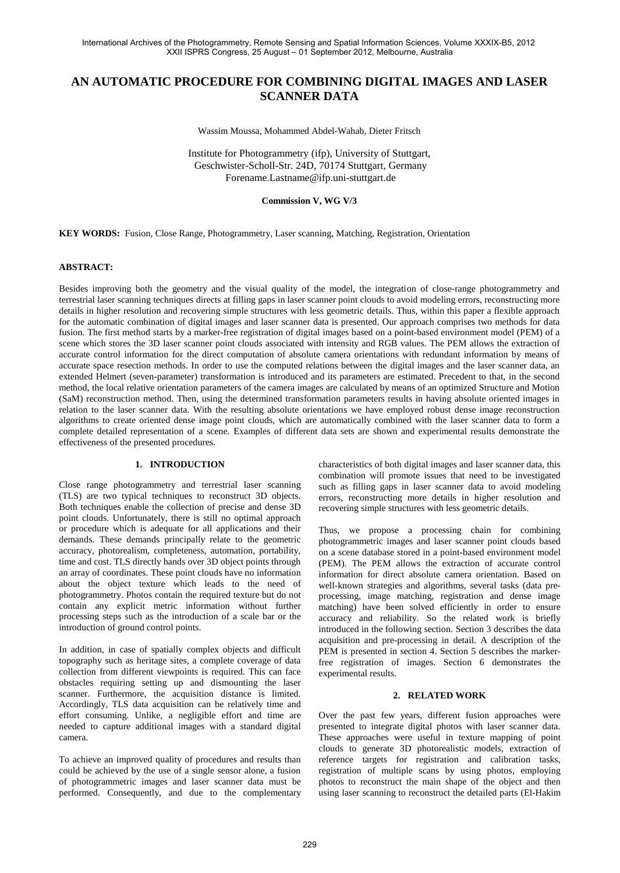# **AN AUTOMATIC PROCEDURE FOR COMBINING DIGITAL IMAGES AND LASER SCANNER DATA**

Wassim Moussa, Mohammed Abdel-Wahab, Dieter Fritsch

Institute for Photogrammetry (ifp), University of Stuttgart, Geschwister-Scholl-Str. 24D, 70174 Stuttgart, Germany Forename.Lastname@ifp.uni-stuttgart.de

#### **Commission V, WG V/3**

**KEY WORDS:** Fusion, Close Range, Photogrammetry, Laser scanning, Matching, Registration, Orientation

#### **ABSTRACT:**

Besides improving both the geometry and the visual quality of the model, the integration of close-range photogrammetry and terrestrial laser scanning techniques directs at filling gaps in laser scanner point clouds to avoid modeling errors, reconstructing more details in higher resolution and recovering simple structures with less geometric details. Thus, within this paper a flexible approach for the automatic combination of digital images and laser scanner data is presented. Our approach comprises two methods for data fusion. The first method starts by a marker-free registration of digital images based on a point-based environment model (PEM) of a scene which stores the 3D laser scanner point clouds associated with intensity and RGB values. The PEM allows the extraction of accurate control information for the direct computation of absolute camera orientations with redundant information by means of accurate space resection methods. In order to use the computed relations between the digital images and the laser scanner data, an extended Helmert (seven-parameter) transformation is introduced and its parameters are estimated. Precedent to that, in the second method, the local relative orientation parameters of the camera images are calculated by means of an optimized Structure and Motion (SaM) reconstruction method. Then, using the determined transformation parameters results in having absolute oriented images in relation to the laser scanner data. With the resulting absolute orientations we have employed robust dense image reconstruction algorithms to create oriented dense image point clouds, which are automatically combined with the laser scanner data to form a complete detailed representation of a scene. Examples of different data sets are shown and experimental results demonstrate the effectiveness of the presented procedures.

#### **1. INTRODUCTION**

Close range photogrammetry and terrestrial laser scanning (TLS) are two typical techniques to reconstruct 3D objects. Both techniques enable the collection of precise and dense 3D point clouds. Unfortunately, there is still no optimal approach or procedure which is adequate for all applications and their demands. These demands principally relate to the geometric accuracy, photorealism, completeness, automation, portability, time and cost. TLS directly hands over 3D object points through an array of coordinates. These point clouds have no information about the object texture which leads to the need of photogrammetry. Photos contain the required texture but do not contain any explicit metric information without further processing steps such as the introduction of a scale bar or the introduction of ground control points.

In addition, in case of spatially complex objects and difficult topography such as heritage sites, a complete coverage of data collection from different viewpoints is required. This can face obstacles requiring setting up and dismounting the laser scanner. Furthermore, the acquisition distance is limited. Accordingly, TLS data acquisition can be relatively time and effort consuming. Unlike, a negligible effort and time are needed to capture additional images with a standard digital camera.

To achieve an improved quality of procedures and results than could be achieved by the use of a single sensor alone, a fusion of photogrammetric images and laser scanner data must be performed. Consequently, and due to the complementary characteristics of both digital images and laser scanner data, this combination will promote issues that need to be investigated such as filling gaps in laser scanner data to avoid modeling errors, reconstructing more details in higher resolution and recovering simple structures with less geometric details.

Thus, we propose a processing chain for combining photogrammetric images and laser scanner point clouds based on a scene database stored in a point-based environment model (PEM). The PEM allows the extraction of accurate control information for direct absolute camera orientation. Based on well-known strategies and algorithms, several tasks (data preprocessing, image matching, registration and dense image matching) have been solved efficiently in order to ensure accuracy and reliability. So the related work is briefly introduced in the following section. Section 3 describes the data acquisition and pre-processing in detail. A description of the PEM is presented in section 4. Section 5 describes the markerfree registration of images. Section 6 demonstrates the experimental results.

#### **2. RELATED WORK**

Over the past few years, different fusion approaches were presented to integrate digital photos with laser scanner data. These approaches were useful in texture mapping of point clouds to generate 3D photorealistic models, extraction of reference targets for registration and calibration tasks, registration of multiple scans by using photos, employing photos to reconstruct the main shape of the object and then using laser scanning to reconstruct the detailed parts (El-Hakim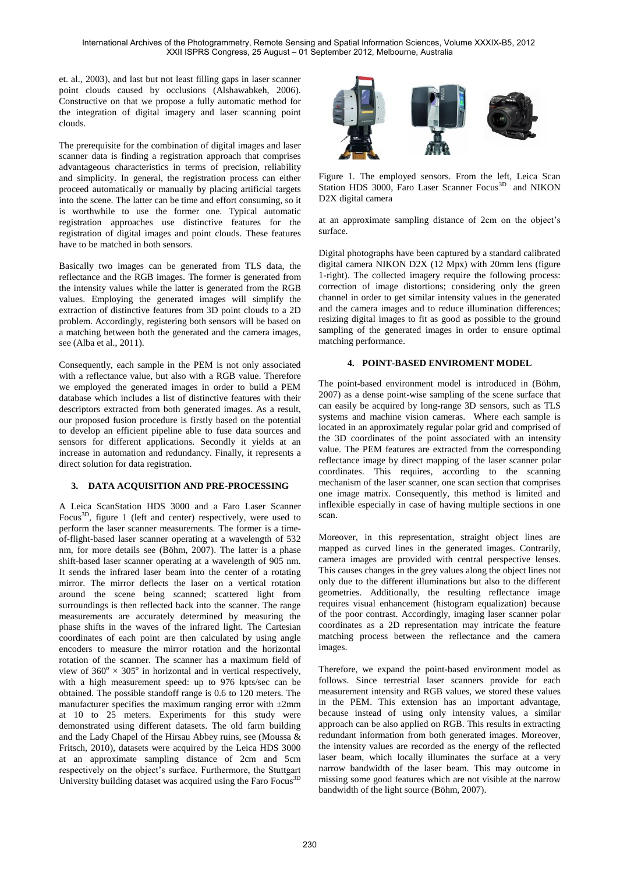et. al., 2003), and last but not least filling gaps in laser scanner point clouds caused by occlusions (Alshawabkeh, 2006). Constructive on that we propose a fully automatic method for the integration of digital imagery and laser scanning point clouds.

The prerequisite for the combination of digital images and laser scanner data is finding a registration approach that comprises advantageous characteristics in terms of precision, reliability and simplicity. In general, the registration process can either proceed automatically or manually by placing artificial targets into the scene. The latter can be time and effort consuming, so it is worthwhile to use the former one. Typical automatic registration approaches use distinctive features for the registration of digital images and point clouds. These features have to be matched in both sensors.

Basically two images can be generated from TLS data, the reflectance and the RGB images. The former is generated from the intensity values while the latter is generated from the RGB values. Employing the generated images will simplify the extraction of distinctive features from 3D point clouds to a 2D problem. Accordingly, registering both sensors will be based on a matching between both the generated and the camera images, see (Alba et al., 2011).

Consequently, each sample in the PEM is not only associated with a reflectance value, but also with a RGB value. Therefore we employed the generated images in order to build a PEM database which includes a list of distinctive features with their descriptors extracted from both generated images. As a result, our proposed fusion procedure is firstly based on the potential to develop an efficient pipeline able to fuse data sources and sensors for different applications. Secondly it yields at an increase in automation and redundancy. Finally, it represents a direct solution for data registration.

## **3. DATA ACQUISITION AND PRE-PROCESSING**

A Leica ScanStation HDS 3000 and a Faro Laser Scanner Focus<sup>3D</sup>, figure 1 (left and center) respectively, were used to perform the laser scanner measurements. The former is a timeof-flight-based laser scanner operating at a wavelength of 532 nm, for more details see (Böhm, 2007). The latter is a phase shift-based laser scanner operating at a wavelength of 905 nm. It sends the infrared laser beam into the center of a rotating mirror. The mirror deflects the laser on a vertical rotation around the scene being scanned; scattered light from surroundings is then reflected back into the scanner. The range measurements are accurately determined by measuring the phase shifts in the waves of the infrared light. The Cartesian coordinates of each point are then calculated by using angle encoders to measure the mirror rotation and the horizontal rotation of the scanner. The scanner has a maximum field of view of  $360^{\circ} \times 305^{\circ}$  in horizontal and in vertical respectively, with a high measurement speed: up to 976 kpts/sec can be obtained. The possible standoff range is 0.6 to 120 meters. The manufacturer specifies the maximum ranging error with  $\pm 2$ mm at 10 to 25 meters. Experiments for this study were demonstrated using different datasets. The old farm building and the Lady Chapel of the Hirsau Abbey ruins, see (Moussa & Fritsch, 2010), datasets were acquired by the Leica HDS 3000 at an approximate sampling distance of 2cm and 5cm respectively on the object's surface. Furthermore, the Stuttgart University building dataset was acquired using the Faro Focus3D



Figure 1. The employed sensors. From the left, Leica Scan Station HDS 3000, Faro Laser Scanner Focus<sup>3D</sup> and NIKON D2X digital camera

at an approximate sampling distance of 2cm on the object's surface.

Digital photographs have been captured by a standard calibrated digital camera NIKON D2X (12 Mpx) with 20mm lens (figure 1-right). The collected imagery require the following process: correction of image distortions; considering only the green channel in order to get similar intensity values in the generated and the camera images and to reduce illumination differences; resizing digital images to fit as good as possible to the ground sampling of the generated images in order to ensure optimal matching performance.

# **4. POINT-BASED ENVIROMENT MODEL**

The point-based environment model is introduced in (Böhm, 2007) as a dense point-wise sampling of the scene surface that can easily be acquired by long-range 3D sensors, such as TLS systems and machine vision cameras. Where each sample is located in an approximately regular polar grid and comprised of the 3D coordinates of the point associated with an intensity value. The PEM features are extracted from the corresponding reflectance image by direct mapping of the laser scanner polar coordinates. This requires, according to the scanning mechanism of the laser scanner, one scan section that comprises one image matrix. Consequently, this method is limited and inflexible especially in case of having multiple sections in one scan.

Moreover, in this representation, straight object lines are mapped as curved lines in the generated images. Contrarily, camera images are provided with central perspective lenses. This causes changes in the grey values along the object lines not only due to the different illuminations but also to the different geometries. Additionally, the resulting reflectance image requires visual enhancement (histogram equalization) because of the poor contrast. Accordingly, imaging laser scanner polar coordinates as a 2D representation may intricate the feature matching process between the reflectance and the camera images.

Therefore, we expand the point-based environment model as follows. Since terrestrial laser scanners provide for each measurement intensity and RGB values, we stored these values in the PEM. This extension has an important advantage, because instead of using only intensity values, a similar approach can be also applied on RGB. This results in extracting redundant information from both generated images. Moreover, the intensity values are recorded as the energy of the reflected laser beam, which locally illuminates the surface at a very narrow bandwidth of the laser beam. This may outcome in missing some good features which are not visible at the narrow bandwidth of the light source (Böhm, 2007).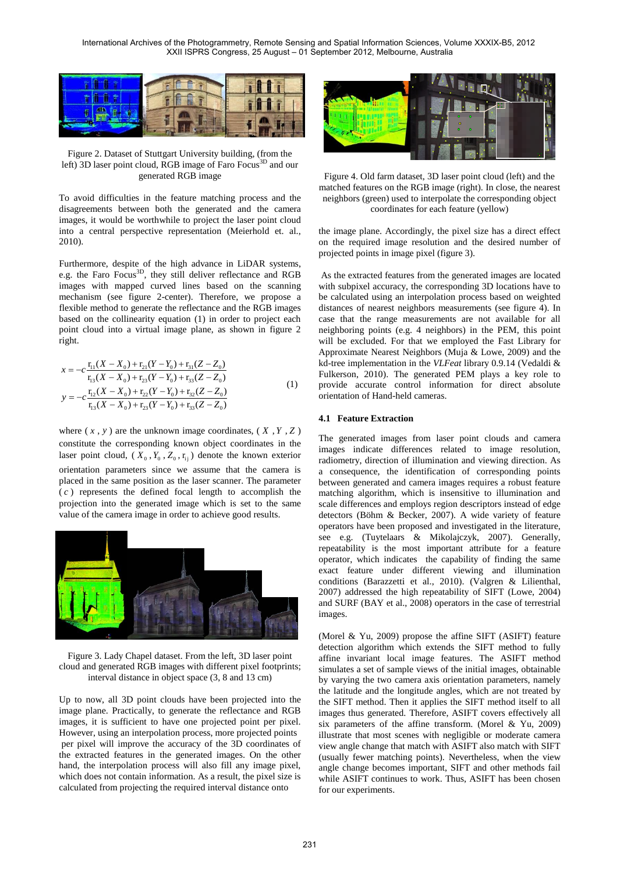

Figure 2. Dataset of Stuttgart University building, (from the left) 3D laser point cloud, RGB image of Faro Focus<sup>3D</sup> and our generated RGB image

To avoid difficulties in the feature matching process and the disagreements between both the generated and the camera images, it would be worthwhile to project the laser point cloud into a central perspective representation (Meierhold et. al., 2010).

Furthermore, despite of the high advance in LiDAR systems, e.g. the Faro Focus<sup>3D</sup>, they still deliver reflectance and RGB images with mapped curved lines based on the scanning mechanism (see figure 2-center). Therefore, we propose a flexible method to generate the reflectance and the RGB images based on the collinearity equation (1) in order to project each point cloud into a virtual image plane, as shown in figure 2 right.

$$
x = -c \frac{\mathbf{r}_{11}(X - X_0) + \mathbf{r}_{21}(Y - Y_0) + \mathbf{r}_{31}(Z - Z_0)}{\mathbf{r}_{13}(X - X_0) + \mathbf{r}_{23}(Y - Y_0) + \mathbf{r}_{33}(Z - Z_0)}
$$
  
\n
$$
y = -c \frac{\mathbf{r}_{12}(X - X_0) + \mathbf{r}_{22}(Y - Y_0) + \mathbf{r}_{32}(Z - Z_0)}{\mathbf{r}_{13}(X - X_0) + \mathbf{r}_{23}(Y - Y_0) + \mathbf{r}_{33}(Z - Z_0)}
$$
\n(1)

where  $(x, y)$  are the unknown image coordinates,  $(X, Y, Z)$ constitute the corresponding known object coordinates in the laser point cloud,  $(X_0, Y_0, Z_0, r_{ij})$  denote the known exterior orientation parameters since we assume that the camera is placed in the same position as the laser scanner. The parameter ( *c* ) represents the defined focal length to accomplish the projection into the generated image which is set to the same value of the camera image in order to achieve good results.



Figure 3. Lady Chapel dataset. From the left, 3D laser point cloud and generated RGB images with different pixel footprints; interval distance in object space (3, 8 and 13 cm)

Up to now, all 3D point clouds have been projected into the image plane. Practically, to generate the reflectance and RGB images, it is sufficient to have one projected point per pixel. However, using an interpolation process, more projected points per pixel will improve the accuracy of the 3D coordinates of the extracted features in the generated images. On the other hand, the interpolation process will also fill any image pixel, which does not contain information. As a result, the pixel size is calculated from projecting the required interval distance onto



Figure 4. Old farm dataset, 3D laser point cloud (left) and the matched features on the RGB image (right). In close, the nearest neighbors (green) used to interpolate the corresponding object coordinates for each feature (yellow)

the image plane. Accordingly, the pixel size has a direct effect on the required image resolution and the desired number of projected points in image pixel (figure 3).

As the extracted features from the generated images are located with subpixel accuracy, the corresponding 3D locations have to be calculated using an interpolation process based on weighted distances of nearest neighbors measurements (see figure 4). In case that the range measurements are not available for all neighboring points (e.g. 4 neighbors) in the PEM, this point will be excluded. For that we employed the Fast Library for Approximate Nearest Neighbors (Muja & Lowe, 2009) and the kd-tree implementation in the *VLFeat* library 0.9.14 (Vedaldi & Fulkerson, 2010). The generated PEM plays a key role to provide accurate control information for direct absolute orientation of Hand-held cameras.

#### **4.1 Feature Extraction**

The generated images from laser point clouds and camera images indicate differences related to image resolution, radiometry, direction of illumination and viewing direction. As a consequence, the identification of corresponding points between generated and camera images requires a robust feature matching algorithm, which is insensitive to illumination and scale differences and employs region descriptors instead of edge detectors (Böhm & Becker, 2007). A wide variety of feature operators have been proposed and investigated in the literature, see e.g. (Tuytelaars & Mikolajczyk, 2007). Generally, repeatability is the most important attribute for a feature operator, which indicates the capability of finding the same exact feature under different viewing and illumination conditions (Barazzetti et al., 2010). (Valgren & Lilienthal, 2007) addressed the high repeatability of SIFT (Lowe, 2004) and SURF (BAY et al., 2008) operators in the case of terrestrial images.

(Morel & Yu, 2009) propose the affine SIFT (ASIFT) feature detection algorithm which extends the SIFT method to fully affine invariant local image features. The ASIFT method simulates a set of sample views of the initial images, obtainable by varying the two camera axis orientation parameters, namely the latitude and the longitude angles, which are not treated by the SIFT method. Then it applies the SIFT method itself to all images thus generated. Therefore, ASIFT covers effectively all six parameters of the affine transform. (Morel & Yu, 2009) illustrate that most scenes with negligible or moderate camera view angle change that match with ASIFT also match with SIFT (usually fewer matching points). Nevertheless, when the view angle change becomes important, SIFT and other methods fail while ASIFT continues to work. Thus, ASIFT has been chosen for our experiments.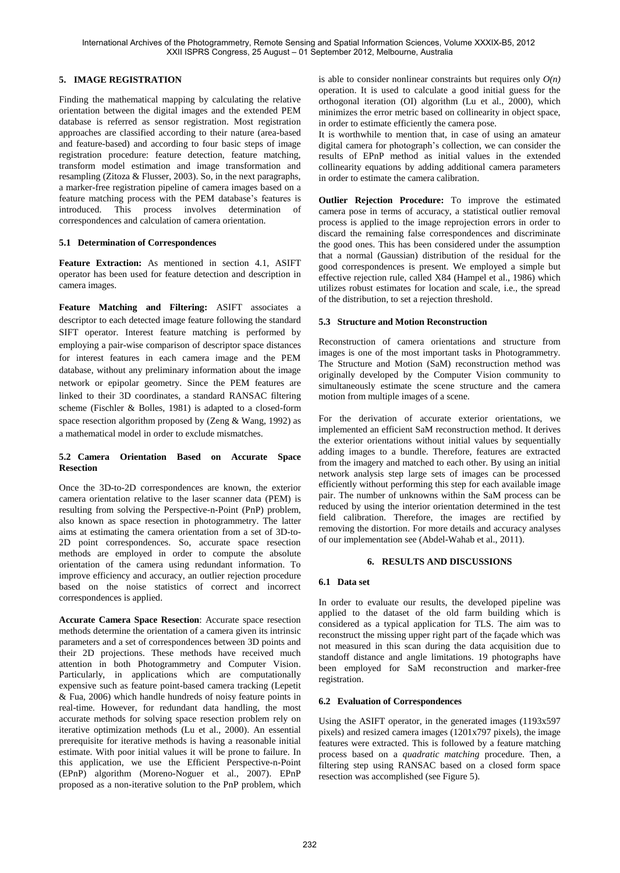### **5. IMAGE REGISTRATION**

Finding the mathematical mapping by calculating the relative orientation between the digital images and the extended PEM database is referred as sensor registration. Most registration approaches are classified according to their nature (area-based and feature-based) and according to four basic steps of image registration procedure: feature detection, feature matching, transform model estimation and image transformation and resampling (Zitoza & Flusser, 2003). So, in the next paragraphs, a marker-free registration pipeline of camera images based on a feature matching process with the PEM database's features is introduced. This process involves determination of correspondences and calculation of camera orientation.

### **5.1 Determination of Correspondences**

**Feature Extraction:** As mentioned in section 4.1, ASIFT operator has been used for feature detection and description in camera images.

**Feature Matching and Filtering:** ASIFT associates a descriptor to each detected image feature following the standard SIFT operator. Interest feature matching is performed by employing a pair-wise comparison of descriptor space distances for interest features in each camera image and the PEM database, without any preliminary information about the image network or epipolar geometry. Since the PEM features are linked to their 3D coordinates, a standard RANSAC filtering scheme (Fischler & Bolles, 1981) is adapted to a closed-form space resection algorithm proposed by (Zeng & Wang, 1992) as a mathematical model in order to exclude mismatches.

### **5.2 Camera Orientation Based on Accurate Space Resection**

Once the 3D-to-2D correspondences are known, the exterior camera orientation relative to the laser scanner data (PEM) is resulting from solving the Perspective-n-Point (PnP) problem, also known as space resection in photogrammetry. The latter aims at estimating the camera orientation from a set of 3D-to-2D point correspondences. So, accurate space resection methods are employed in order to compute the absolute orientation of the camera using redundant information. To improve efficiency and accuracy, an outlier rejection procedure based on the noise statistics of correct and incorrect correspondences is applied.

**Accurate Camera Space Resection**: Accurate space resection methods determine the orientation of a camera given its intrinsic parameters and a set of correspondences between 3D points and their 2D projections. These methods have received much attention in both Photogrammetry and Computer Vision. Particularly, in applications which are computationally expensive such as feature point-based camera tracking (Lepetit & Fua, 2006) which handle hundreds of noisy feature points in real-time. However, for redundant data handling, the most accurate methods for solving space resection problem rely on iterative optimization methods (Lu et al., 2000). An essential prerequisite for iterative methods is having a reasonable initial estimate. With poor initial values it will be prone to failure. In this application, we use the Efficient Perspective-n-Point (EPnP) algorithm (Moreno-Noguer et al., 2007). EPnP proposed as a non-iterative solution to the PnP problem, which is able to consider nonlinear constraints but requires only  $O(n)$ operation. It is used to calculate a good initial guess for the orthogonal iteration (OI) algorithm (Lu et al., 2000), which minimizes the error metric based on collinearity in object space, in order to estimate efficiently the camera pose.

It is worthwhile to mention that, in case of using an amateur digital camera for photograph's collection, we can consider the results of EPnP method as initial values in the extended collinearity equations by adding additional camera parameters in order to estimate the camera calibration.

**Outlier Rejection Procedure:** To improve the estimated camera pose in terms of accuracy, a statistical outlier removal process is applied to the image reprojection errors in order to discard the remaining false correspondences and discriminate the good ones. This has been considered under the assumption that a normal (Gaussian) distribution of the residual for the good correspondences is present. We employed a simple but effective rejection rule, called X84 (Hampel et al., 1986) which utilizes robust estimates for location and scale, i.e., the spread of the distribution, to set a rejection threshold.

### **5.3 Structure and Motion Reconstruction**

Reconstruction of camera orientations and structure from images is one of the most important tasks in Photogrammetry. The Structure and Motion (SaM) reconstruction method was originally developed by the Computer Vision community to simultaneously estimate the scene structure and the camera motion from multiple images of a scene.

For the derivation of accurate exterior orientations, we implemented an efficient SaM reconstruction method. It derives the exterior orientations without initial values by sequentially adding images to a bundle. Therefore, features are extracted from the imagery and matched to each other. By using an initial network analysis step large sets of images can be processed efficiently without performing this step for each available image pair. The number of unknowns within the SaM process can be reduced by using the interior orientation determined in the test field calibration. Therefore, the images are rectified by removing the distortion. For more details and accuracy analyses of our implementation see (Abdel-Wahab et al., 2011).

### **6. RESULTS AND DISCUSSIONS**

### **6.1 Data set**

In order to evaluate our results, the developed pipeline was applied to the dataset of the old farm building which is considered as a typical application for TLS. The aim was to reconstruct the missing upper right part of the façade which was not measured in this scan during the data acquisition due to standoff distance and angle limitations. 19 photographs have been employed for SaM reconstruction and marker-free registration.

### **6.2 Evaluation of Correspondences**

Using the ASIFT operator, in the generated images (1193x597 pixels) and resized camera images (1201x797 pixels), the image features were extracted. This is followed by a feature matching process based on a *quadratic matching* procedure. Then, a filtering step using RANSAC based on a closed form space resection was accomplished (see Figure 5).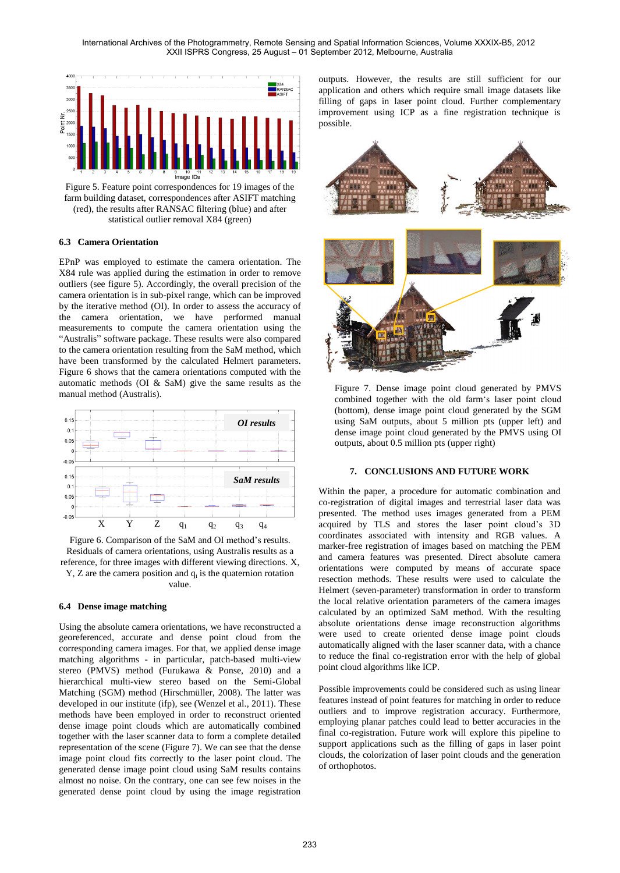International Archives of the Photogrammetry, Remote Sensing and Spatial Information Sciences, Volume XXXIX-B5, 2012 XXII ISPRS Congress, 25 August – 01 September 2012, Melbourne, Australia



Figure 5. Feature point correspondences for 19 images of the farm building dataset, correspondences after ASIFT matching (red), the results after RANSAC filtering (blue) and after statistical outlier removal X84 (green)

### **6.3 Camera Orientation**

EPnP was employed to estimate the camera orientation. The X84 rule was applied during the estimation in order to remove outliers (see figure 5). Accordingly, the overall precision of the camera orientation is in sub-pixel range, which can be improved by the iterative method (OI). In order to assess the accuracy of the camera orientation, we have performed manual measurements to compute the camera orientation using the "Australis" software package. These results were also compared to the camera orientation resulting from the SaM method, which have been transformed by the calculated Helmert parameters. Figure 6 shows that the camera orientations computed with the automatic methods (OI & SaM) give the same results as the manual method (Australis).



Figure 6. Comparison of the SaM and OI method's results. Residuals of camera orientations, using Australis results as a reference, for three images with different viewing directions. X,  $Y$ ,  $Z$  are the camera position and  $q_i$  is the quaternion rotation value.

#### **6.4 Dense image matching**

Using the absolute camera orientations, we have reconstructed a georeferenced, accurate and dense point cloud from the corresponding camera images. For that, we applied dense image matching algorithms - in particular, patch-based multi-view stereo (PMVS) method (Furukawa & Ponse, 2010) and a hierarchical multi-view stereo based on the Semi-Global Matching (SGM) method (Hirschmüller, 2008). The latter was developed in our institute (ifp), see (Wenzel et al., 2011). These methods have been employed in order to reconstruct oriented dense image point clouds which are automatically combined together with the laser scanner data to form a complete detailed representation of the scene (Figure 7). We can see that the dense image point cloud fits correctly to the laser point cloud. The generated dense image point cloud using SaM results contains almost no noise. On the contrary, one can see few noises in the generated dense point cloud by using the image registration

outputs. However, the results are still sufficient for our application and others which require small image datasets like filling of gaps in laser point cloud. Further complementary improvement using ICP as a fine registration technique is possible.



Figure 7. Dense image point cloud generated by PMVS combined together with the old farm's laser point cloud (bottom), dense image point cloud generated by the SGM using SaM outputs, about 5 million pts (upper left) and dense image point cloud generated by the PMVS using OI outputs, about 0.5 million pts (upper right)

#### **7. CONCLUSIONS AND FUTURE WORK**

Within the paper, a procedure for automatic combination and co-registration of digital images and terrestrial laser data was presented. The method uses images generated from a PEM acquired by TLS and stores the laser point cloud's 3D coordinates associated with intensity and RGB values. A marker-free registration of images based on matching the PEM and camera features was presented. Direct absolute camera orientations were computed by means of accurate space resection methods. These results were used to calculate the Helmert (seven-parameter) transformation in order to transform the local relative orientation parameters of the camera images calculated by an optimized SaM method. With the resulting absolute orientations dense image reconstruction algorithms were used to create oriented dense image point clouds automatically aligned with the laser scanner data, with a chance to reduce the final co-registration error with the help of global point cloud algorithms like ICP.

Possible improvements could be considered such as using linear features instead of point features for matching in order to reduce outliers and to improve registration accuracy. Furthermore, employing planar patches could lead to better accuracies in the final co-registration. Future work will explore this pipeline to support applications such as the filling of gaps in laser point clouds, the colorization of laser point clouds and the generation of orthophotos.